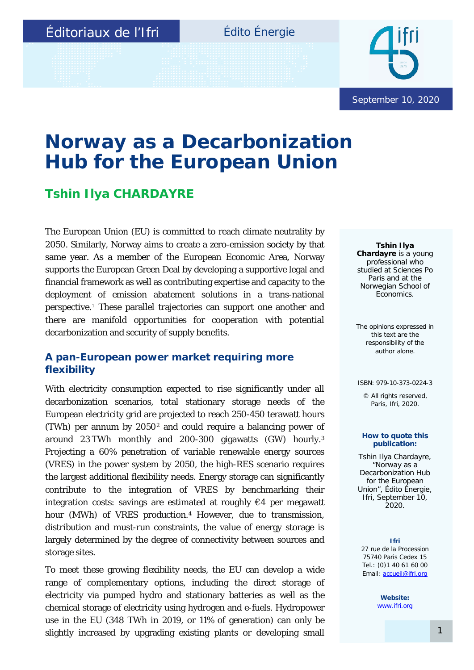## Édito Énergie



# **Norway as a Decarbonization Hub for the European Union**

# **Tshin Ilya CHARDAYRE**

The European Union (EU) is committed to reach climate neutrality by 2050. Similarly, Norway aims to create a zero-emission society by that same year. As a member of the European Economic Area, Norway supports the European Green Deal by developing a supportive legal and financial framework as well as contributing expertise and capacity to the deployment of emission abatement solutions in a trans-national perspective.<sup>1</sup> These parallel trajectories can support one another and there are manifold opportunities for cooperation with potential decarbonization and security of supply benefits.

## **A pan-European power market requiring more flexibility**

With electricity consumption expected to rise significantly under all decarbonization scenarios, total stationary storage needs of the European electricity grid are projected to reach 250-450 terawatt hours (TWh) per annum by 20502 and could require a balancing power of around 23 TWh monthly and 200-300 gigawatts (GW) hourly.3 Projecting a 60% penetration of variable renewable energy sources (VRES) in the power system by 2050, the high-RES scenario requires the largest additional flexibility needs. Energy storage can significantly contribute to the integration of VRES by benchmarking their integration costs: savings are estimated at roughly  $\epsilon$ 4 per megawatt hour (MWh) of VRES production.<sup>4</sup> However, due to transmission, distribution and must-run constraints, the value of energy storage is largely determined by the degree of connectivity between sources and storage sites.

To meet these growing flexibility needs, the EU can develop a wide range of complementary options, including the direct storage of electricity via pumped hydro and stationary batteries as well as the chemical storage of electricity using hydrogen and e-fuels. Hydropower use in the EU (348 TWh in 2019, or 11% of generation) can only be slightly increased by upgrading existing plants or developing small

*Tshin Ilya Chardayre is a young professional who studied at Sciences Po Paris and at the Norwegian School of Economics.* 

The opinions expressed in this text are the responsibility of the author alone.

#### ISBN: 979-10-373-0224-3

© All rights reserved, Paris, Ifri, 2020.

#### **How to quote this publication:**

Tshin Ilya Chardayre, "Norway as a Decarbonization Hub for the European Union", *Édito Énergie*, Ifri, September 10, 2020.

**Ifri** 27 rue de la Procession 75740 Paris Cedex 15 Tel.: (0)1 40 61 60 00 Email: [accueil@ifri.org](mailto:accueil@ifri.org)

> **Website:** [www.ifri.org](http://www.ifri.org/)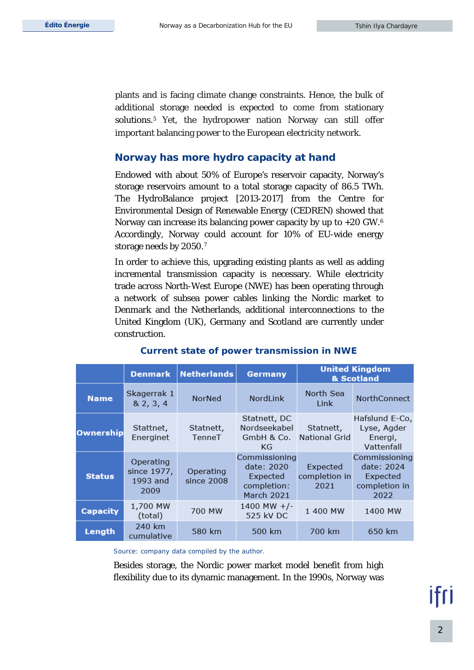plants and is facing climate change constraints. Hence, the bulk of additional storage needed is expected to come from stationary solutions.<sup>5</sup> Yet, the hydropower nation Norway can still offer important balancing power to the European electricity network.

## **Norway has more hydro capacity at hand**

Endowed with about 50% of Europe's reservoir capacity, Norway's storage reservoirs amount to a total storage capacity of 86.5 TWh. The HydroBalance project [2013-2017] from the Centre for Environmental Design of Renewable Energy (CEDREN) showed that Norway can increase its balancing power capacity by up to +20 GW.6 Accordingly, Norway could account for 10% of EU-wide energy storage needs by 2050.7

In order to achieve this, upgrading existing plants as well as adding incremental transmission capacity is necessary. While electricity trade across North-West Europe (NWE) has been operating through a network of subsea power cables linking the Nordic market to Denmark and the Netherlands, additional interconnections to the United Kingdom (UK), Germany and Scotland are currently under construction.

|                  | <b>Denmark</b>                               | <b>Netherlands</b>      | <b>Germany</b>                                                       | <b>United Kingdom</b><br>& Scotland |                                                                  |
|------------------|----------------------------------------------|-------------------------|----------------------------------------------------------------------|-------------------------------------|------------------------------------------------------------------|
| <b>Name</b>      | Skagerrak 1<br>8, 2, 3, 4                    | NorNed                  | NordLink                                                             | North Sea<br>Link                   | <b>NorthConnect</b>                                              |
| <b>Ownership</b> | Stattnet,<br>Energinet                       | Statnett,<br>TenneT     | Statnett, DC<br>Nordseekabel<br>GmbH & Co.<br>KG                     | Statnett,<br><b>National Grid</b>   | Hafslund E-Co,<br>Lyse, Agder<br>Energi,<br>Vattenfall           |
| <b>Status</b>    | Operating<br>since 1977,<br>1993 and<br>2009 | Operating<br>since 2008 | Commissioning<br>date: 2020<br>Expected<br>completion:<br>March 2021 | Expected<br>completion in<br>2021   | Commissioning<br>date: 2024<br>Expected<br>completion in<br>2022 |
| <b>Capacity</b>  | 1,700 MW<br>(total)                          | 700 MW                  | 1400 MW $+/-$<br>525 kV DC                                           | 1 400 MW                            | 1400 MW                                                          |
| Length           | 240 km<br>cumulative                         | 580 km                  | 500 km                                                               | 700 km                              | 650 km                                                           |

### **Current state of power transmission in NWE**

*Source: company data compiled by the author.*

Besides storage, the Nordic power market model benefit from high flexibility due to its dynamic management. In the 1990s, Norway was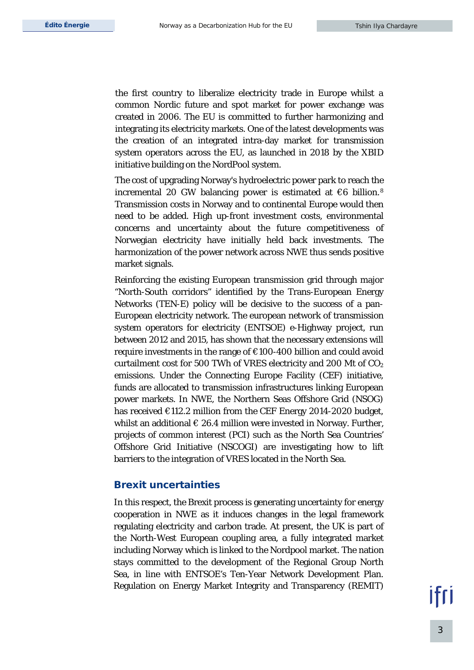the first country to liberalize electricity trade in Europe whilst a common Nordic future and spot market for power exchange was created in 2006. The EU is committed to further harmonizing and integrating its electricity markets. One of the latest developments was the creation of an integrated intra-day market for transmission system operators across the EU, as launched in 2018 by the XBID initiative building on the NordPool system.

The cost of upgrading Norway's hydroelectric power park to reach the incremental 20 GW balancing power is estimated at  $€6$  billion.<sup>8</sup> Transmission costs in Norway and to continental Europe would then need to be added. High up-front investment costs, environmental concerns and uncertainty about the future competitiveness of Norwegian electricity have initially held back investments. The harmonization of the power network across NWE thus sends positive market signals.

Reinforcing the existing European transmission grid through major "North-South corridors" identified by the Trans-European Energy Networks (TEN-E) policy will be decisive to the success of a pan-European electricity network. The european network of transmission system operators for electricity (ENTSOE) e-Highway project, run between 2012 and 2015, has shown that the necessary extensions will require investments in the range of €100-400 billion and could avoid curtailment cost for 500 TWh of VRES electricity and 200 Mt of  $CO<sub>2</sub>$ emissions. Under the Connecting Europe Facility (CEF) initiative, funds are allocated to transmission infrastructures linking European power markets. In NWE, the Northern Seas Offshore Grid (NSOG) has received €112.2 million from the CEF Energy 2014-2020 budget, whilst an additional  $\in$  26.4 million were invested in Norway. Further, projects of common interest (PCI) such as the North Sea Countries' Offshore Grid Initiative (NSCOGI) are investigating how to lift barriers to the integration of VRES located in the North Sea.

#### **Brexit uncertainties**

In this respect, the Brexit process is generating uncertainty for energy cooperation in NWE as it induces changes in the legal framework regulating electricity and carbon trade. At present, the UK is part of the North-West European coupling area, a fully integrated market including Norway which is linked to the Nordpool market. The nation stays committed to the development of the Regional Group North Sea, in line with ENTSOE's Ten-Year Network Development Plan. Regulation on Energy Market Integrity and Transparency (REMIT)

ifri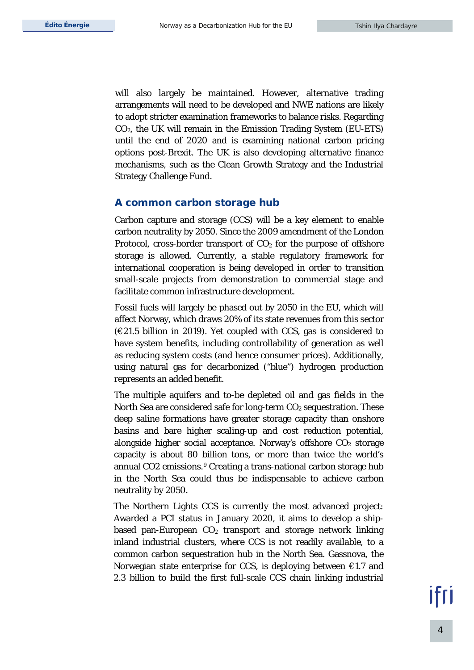will also largely be maintained. However, alternative trading arrangements will need to be developed and NWE nations are likely to adopt stricter examination frameworks to balance risks. Regarding CO2, the UK will remain in the Emission Trading System (EU-ETS) until the end of 2020 and is examining national carbon pricing options post-Brexit. The UK is also developing alternative finance mechanisms, such as the Clean Growth Strategy and the Industrial Strategy Challenge Fund.

#### **A common carbon storage hub**

Carbon capture and storage (CCS) will be a key element to enable carbon neutrality by 2050. Since the 2009 amendment of the London Protocol, cross-border transport of  $CO<sub>2</sub>$  for the purpose of offshore storage is allowed. Currently, a stable regulatory framework for international cooperation is being developed in order to transition small-scale projects from demonstration to commercial stage and facilitate common infrastructure development.

Fossil fuels will largely be phased out by 2050 in the EU, which will affect Norway, which draws 20% of its state revenues from this sector (€21.5 billion in 2019). Yet coupled with CCS, gas is considered to have system benefits, including controllability of generation as well as reducing system costs (and hence consumer prices). Additionally, using natural gas for decarbonized ("blue") hydrogen production represents an added benefit.

The multiple aquifers and to-be depleted oil and gas fields in the North Sea are considered safe for long-term CO<sub>2</sub> sequestration. These deep saline formations have greater storage capacity than onshore basins and bare higher scaling-up and cost reduction potential, alongside higher social acceptance. Norway's offshore  $CO<sub>2</sub>$  storage capacity is about 80 billion tons, or more than twice the world's annual CO2 emissions.9 Creating a trans-national carbon storage hub in the North Sea could thus be indispensable to achieve carbon neutrality by 2050.

The Northern Lights CCS is currently the most advanced project: Awarded a PCI status in January 2020, it aims to develop a shipbased pan-European  $CO<sub>2</sub>$  transport and storage network linking inland industrial clusters, where CCS is not readily available, to a common carbon sequestration hub in the North Sea. Gassnova, the Norwegian state enterprise for CCS, is deploying between  $\epsilon$ 1.7 and 2.3 billion to build the first full-scale CCS chain linking industrial

ıfrı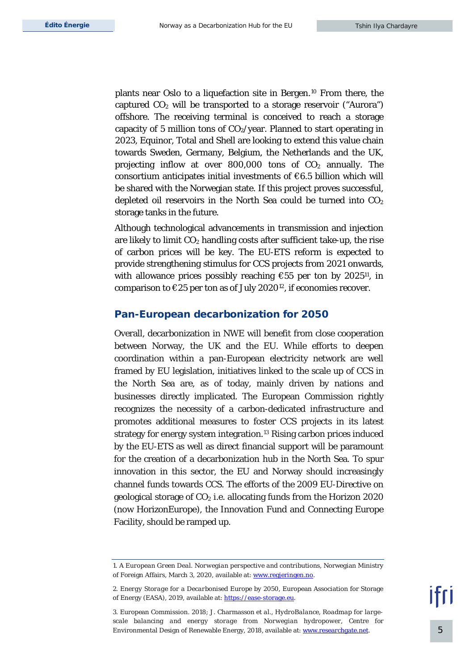plants near Oslo to a liquefaction site in Bergen.10 From there, the captured  $CO<sub>2</sub>$  will be transported to a storage reservoir ("Aurora") offshore. The receiving terminal is conceived to reach a storage capacity of 5 million tons of  $CO<sub>2</sub>/year$ . Planned to start operating in 2023, Equinor, Total and Shell are looking to extend this value chain towards Sweden, Germany, Belgium, the Netherlands and the UK, projecting inflow at over  $800,000$  tons of  $CO<sub>2</sub>$  annually. The consortium anticipates initial investments of  $\epsilon$ 6.5 billion which will be shared with the Norwegian state. If this project proves successful, depleted oil reservoirs in the North Sea could be turned into  $CO<sub>2</sub>$ storage tanks in the future.

Although technological advancements in transmission and injection are likely to limit  $CO<sub>2</sub>$  handling costs after sufficient take-up, the rise of carbon prices will be key. The EU-ETS reform is expected to provide strengthening stimulus for CCS projects from 2021 onwards, with allowance prices possibly reaching  $\epsilon$ 55 per ton by 2025<sup>11</sup>, in comparison to  $\epsilon$ 25 per ton as of July 2020<sup>12</sup>, if economies recover.

#### **Pan-European decarbonization for 2050**

Overall, decarbonization in NWE will benefit from close cooperation between Norway, the UK and the EU. While efforts to deepen coordination within a pan-European electricity network are well framed by EU legislation, initiatives linked to the scale up of CCS in the North Sea are, as of today, mainly driven by nations and businesses directly implicated. The European Commission rightly recognizes the necessity of a carbon-dedicated infrastructure and promotes additional measures to foster CCS projects in its latest strategy for energy system integration.13 Rising carbon prices induced by the EU-ETS as well as direct financial support will be paramount for the creation of a decarbonization hub in the North Sea. To spur innovation in this sector, the EU and Norway should increasingly channel funds towards CCS. The efforts of the 2009 EU-Directive on geological storage of  $CO<sub>2</sub>$  i.e. allocating funds from the Horizon 2020 (now HorizonEurope), the Innovation Fund and Connecting Europe Facility, should be ramped up.

<sup>1.</sup> *A European Green Deal. Norwegian perspective and contributions*, Norwegian Ministry of Foreign Affairs, March 3, 2020, available at: [www.regjeringen.no.](https://www.regjeringen.no/contentassets/9a4996236d4242dc8889797241a9bb75/europeangreendeal-20200303.pdf)

<sup>2.</sup> *Energy Storage for a Decarbonised Europe by 2050,* European Association for Storage of Energy (EASA), 2019, available at[: https://ease-storage.eu.](https://ease-storage.eu/wp-content/uploads/2019/11/ES-for-a-Decarbonised-Europe-by-2050.pdf)

<sup>3.</sup> European Commission. 2018; J. Charmasson *et al*., *HydroBalance, Roadmap for largescale balancing and energy storage from Norwegian hydropower*, Centre for Environmental Design of Renewable Energy, 2018, available at[: www.researchgate.net.](https://www.researchgate.net/publication/327509568_HydroBalance_-_Roadmap_for_large-scale_balancing_and_energy_storage_from_Norwegian_hydropower)